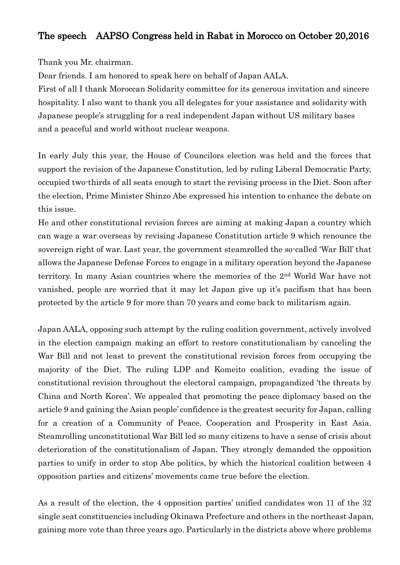## The speech AAPSO Congress held in Rabat in Morocco on October 20,2016

Thank you Mr. chairman.

Dear friends. I am honored to speak here on behalf of Japan AALA.

First of all I thank Moroccan Solidarity committee for its generous invitation and sincere hospitality. I also want to thank you all delegates for your assistance and solidarity with Japanese people's struggling for a real independent Japan without US military bases and a peaceful and world without nuclear weapons.

In early July this year, the House of Councilors election was held and the forces that support the revision of the Japanese Constitution, led by ruling Liberal Democratic Party, occupied two-thirds of all seats enough to start the revising process in the Diet. Soon after the election, Prime Minister Shinzo Abe expressed his intention to enhance the debate on this issue.

He and other constitutional revision forces are aiming at making Japan a country which can wage a war overseas by revising Japanese Constitution article 9 which renounce the sovereign right of war. Last year, the government steamrolled the so-called 'War Bill' that allows the Japanese Defense Forces to engage in a military operation beyond the Japanese territory. In many Asian countries where the memories of the 2nd World War have not vanished, people are worried that it may let Japan give up it's pacifism that has been protected by the article 9 for more than 70 years and come back to militarism again.

Japan AALA, opposing such attempt by the ruling coalition government, actively involved in the election campaign making an effort to restore constitutionalism by canceling the War Bill and not least to prevent the constitutional revision forces from occupying the majority of the Diet. The ruling LDP and Komeito coalition, evading the issue of constitutional revision throughout the electoral campaign, propagandized 'the threats by China and North Korea'. We appealed that promoting the peace diplomacy based on the article 9 and gaining the Asian people' confidence is the greatest security for Japan, calling for a creation of a Community of Peace, Cooperation and Prosperity in East Asia. Steamrolling unconstitutional War Bill led so many citizens to have a sense of crisis about deterioration of the constitutionalism of Japan. They strongly demanded the opposition parties to unify in order to stop Abe politics, by which the historical coalition between 4 opposition parties and citizens' movements came true before the election.

As a result of the election, the 4 opposition parties' unified candidates won 11 of the 32 single seat constituencies including Okinawa Prefecture and others in the northeast Japan, gaining more vote than three years ago. Particularly in the districts above where problems